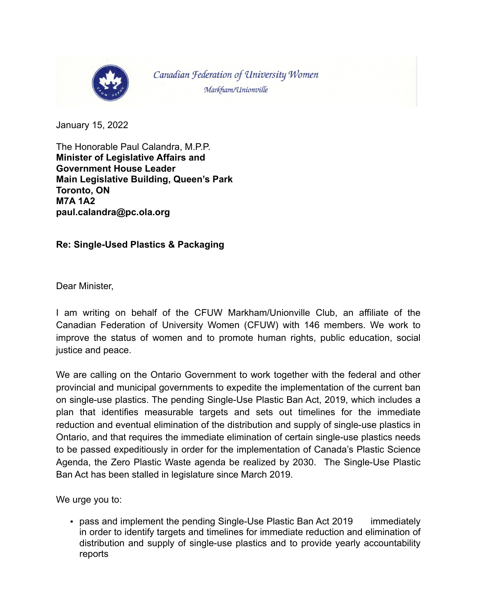

Canadian Federation of University Women Markham/Unionville

January 15, 2022

The Honorable Paul Calandra, M.P.P. **Minister of Legislative Affairs and Government House Leader Main Legislative Building, Queen's Park Toronto, ON M7A 1A2 paul.calandra@pc.ola.org** 

## **Re: Single-Used Plastics & Packaging**

Dear Minister,

I am writing on behalf of the CFUW Markham/Unionville Club, an affiliate of the Canadian Federation of University Women (CFUW) with 146 members. We work to improve the status of women and to promote human rights, public education, social justice and peace.

We are calling on the Ontario Government to work together with the federal and other provincial and municipal governments to expedite the implementation of the current ban on single-use plastics. The pending Single-Use Plastic Ban Act, 2019, which includes a plan that identifies measurable targets and sets out timelines for the immediate reduction and eventual elimination of the distribution and supply of single-use plastics in Ontario, and that requires the immediate elimination of certain single-use plastics needs to be passed expeditiously in order for the implementation of Canada's Plastic Science Agenda, the Zero Plastic Waste agenda be realized by 2030. The Single-Use Plastic Ban Act has been stalled in legislature since March 2019.

We urge you to:

• pass and implement the pending Single-Use Plastic Ban Act 2019 immediately in order to identify targets and timelines for immediate reduction and elimination of distribution and supply of single-use plastics and to provide yearly accountability reports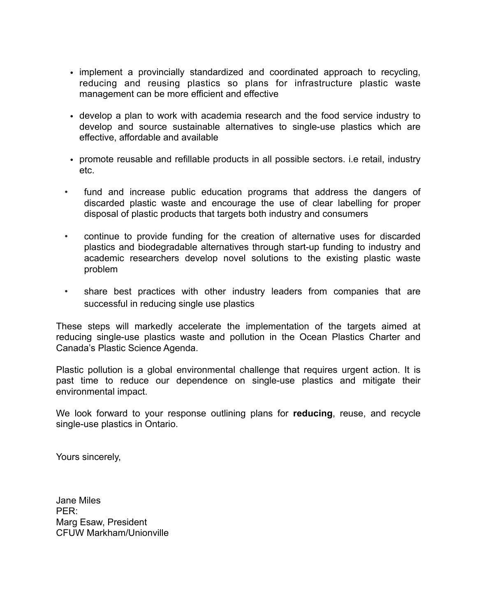- implement a provincially standardized and coordinated approach to recycling, reducing and reusing plastics so plans for infrastructure plastic waste management can be more efficient and effective
- develop a plan to work with academia research and the food service industry to develop and source sustainable alternatives to single-use plastics which are effective, affordable and available
- promote reusable and refillable products in all possible sectors. i.e retail, industry etc.
- fund and increase public education programs that address the dangers of discarded plastic waste and encourage the use of clear labelling for proper disposal of plastic products that targets both industry and consumers
- continue to provide funding for the creation of alternative uses for discarded plastics and biodegradable alternatives through start-up funding to industry and academic researchers develop novel solutions to the existing plastic waste problem
- share best practices with other industry leaders from companies that are successful in reducing single use plastics

These steps will markedly accelerate the implementation of the targets aimed at reducing single-use plastics waste and pollution in the Ocean Plastics Charter and Canada's Plastic Science Agenda.

Plastic pollution is a global environmental challenge that requires urgent action. It is past time to reduce our dependence on single-use plastics and mitigate their environmental impact.

We look forward to your response outlining plans for **reducing**, reuse, and recycle single-use plastics in Ontario.

Yours sincerely,

Jane Miles PER: Marg Esaw, President CFUW Markham/Unionville